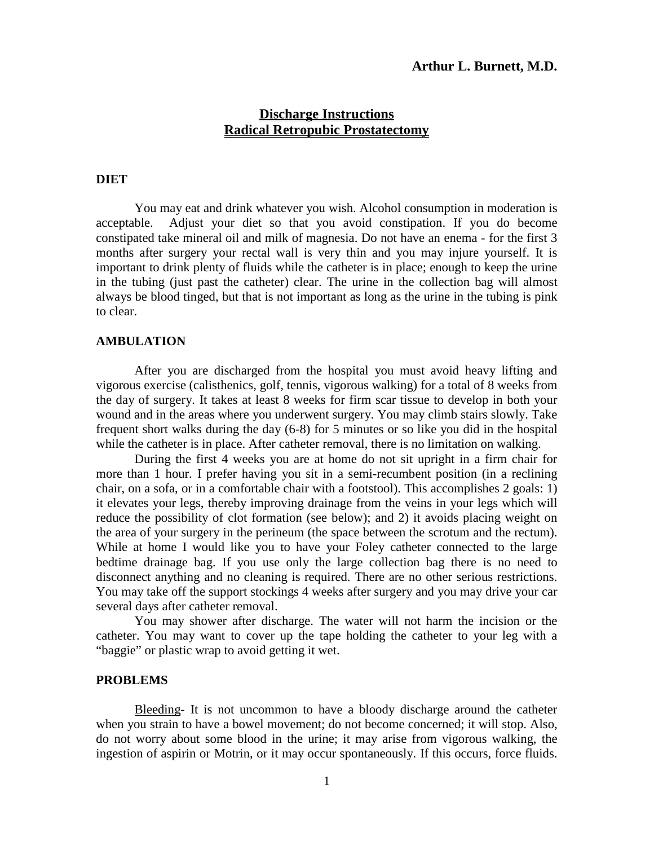# **Discharge Instructions Radical Retropubic Prostatectomy**

## **DIET**

You may eat and drink whatever you wish. Alcohol consumption in moderation is acceptable. Adjust your diet so that you avoid constipation. If you do become constipated take mineral oil and milk of magnesia. Do not have an enema - for the first 3 months after surgery your rectal wall is very thin and you may injure yourself. It is important to drink plenty of fluids while the catheter is in place; enough to keep the urine in the tubing (just past the catheter) clear. The urine in the collection bag will almost always be blood tinged, but that is not important as long as the urine in the tubing is pink to clear.

#### **AMBULATION**

After you are discharged from the hospital you must avoid heavy lifting and vigorous exercise (calisthenics, golf, tennis, vigorous walking) for a total of 8 weeks from the day of surgery. It takes at least 8 weeks for firm scar tissue to develop in both your wound and in the areas where you underwent surgery. You may climb stairs slowly. Take frequent short walks during the day (6-8) for 5 minutes or so like you did in the hospital while the catheter is in place. After catheter removal, there is no limitation on walking.

During the first 4 weeks you are at home do not sit upright in a firm chair for more than 1 hour. I prefer having you sit in a semi-recumbent position (in a reclining chair, on a sofa, or in a comfortable chair with a footstool). This accomplishes 2 goals: 1) it elevates your legs, thereby improving drainage from the veins in your legs which will reduce the possibility of clot formation (see below); and 2) it avoids placing weight on the area of your surgery in the perineum (the space between the scrotum and the rectum). While at home I would like you to have your Foley catheter connected to the large bedtime drainage bag. If you use only the large collection bag there is no need to disconnect anything and no cleaning is required. There are no other serious restrictions. You may take off the support stockings 4 weeks after surgery and you may drive your car several days after catheter removal.

You may shower after discharge. The water will not harm the incision or the catheter. You may want to cover up the tape holding the catheter to your leg with a "baggie" or plastic wrap to avoid getting it wet.

#### **PROBLEMS**

Bleeding- It is not uncommon to have a bloody discharge around the catheter when you strain to have a bowel movement; do not become concerned; it will stop. Also, do not worry about some blood in the urine; it may arise from vigorous walking, the ingestion of aspirin or Motrin, or it may occur spontaneously. If this occurs, force fluids.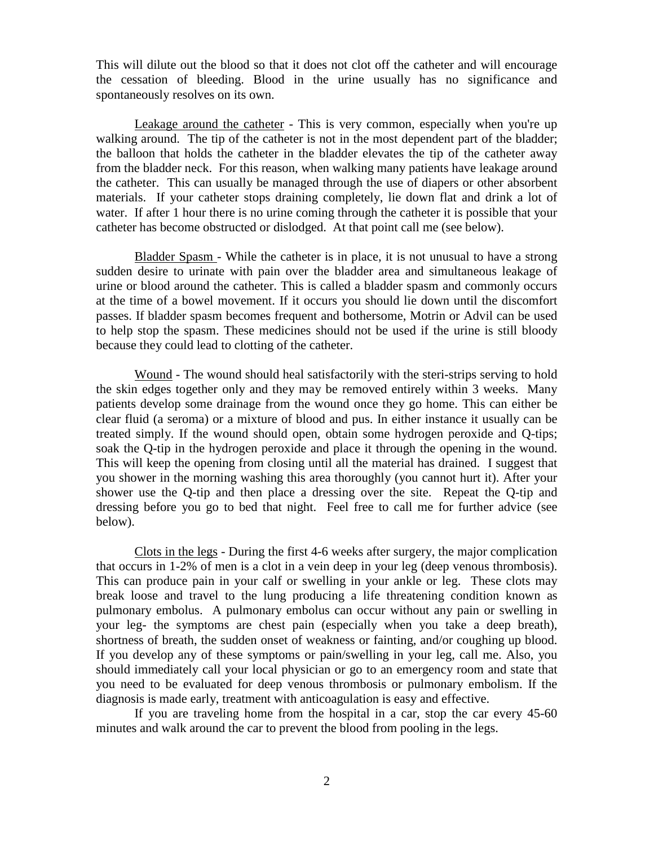This will dilute out the blood so that it does not clot off the catheter and will encourage the cessation of bleeding. Blood in the urine usually has no significance and spontaneously resolves on its own.

Leakage around the catheter - This is very common, especially when you're up walking around. The tip of the catheter is not in the most dependent part of the bladder; the balloon that holds the catheter in the bladder elevates the tip of the catheter away from the bladder neck. For this reason, when walking many patients have leakage around the catheter. This can usually be managed through the use of diapers or other absorbent materials. If your catheter stops draining completely, lie down flat and drink a lot of water. If after 1 hour there is no urine coming through the catheter it is possible that your catheter has become obstructed or dislodged. At that point call me (see below).

Bladder Spasm - While the catheter is in place, it is not unusual to have a strong sudden desire to urinate with pain over the bladder area and simultaneous leakage of urine or blood around the catheter. This is called a bladder spasm and commonly occurs at the time of a bowel movement. If it occurs you should lie down until the discomfort passes. If bladder spasm becomes frequent and bothersome, Motrin or Advil can be used to help stop the spasm. These medicines should not be used if the urine is still bloody because they could lead to clotting of the catheter.

Wound - The wound should heal satisfactorily with the steri-strips serving to hold the skin edges together only and they may be removed entirely within 3 weeks. Many patients develop some drainage from the wound once they go home. This can either be clear fluid (a seroma) or a mixture of blood and pus. In either instance it usually can be treated simply. If the wound should open, obtain some hydrogen peroxide and Q-tips; soak the Q-tip in the hydrogen peroxide and place it through the opening in the wound. This will keep the opening from closing until all the material has drained. I suggest that you shower in the morning washing this area thoroughly (you cannot hurt it). After your shower use the Q-tip and then place a dressing over the site. Repeat the Q-tip and dressing before you go to bed that night. Feel free to call me for further advice (see below).

Clots in the legs - During the first 4-6 weeks after surgery, the major complication that occurs in 1-2% of men is a clot in a vein deep in your leg (deep venous thrombosis). This can produce pain in your calf or swelling in your ankle or leg. These clots may break loose and travel to the lung producing a life threatening condition known as pulmonary embolus. A pulmonary embolus can occur without any pain or swelling in your leg- the symptoms are chest pain (especially when you take a deep breath), shortness of breath, the sudden onset of weakness or fainting, and/or coughing up blood. If you develop any of these symptoms or pain/swelling in your leg, call me. Also, you should immediately call your local physician or go to an emergency room and state that you need to be evaluated for deep venous thrombosis or pulmonary embolism. If the diagnosis is made early, treatment with anticoagulation is easy and effective.

If you are traveling home from the hospital in a car, stop the car every 45-60 minutes and walk around the car to prevent the blood from pooling in the legs.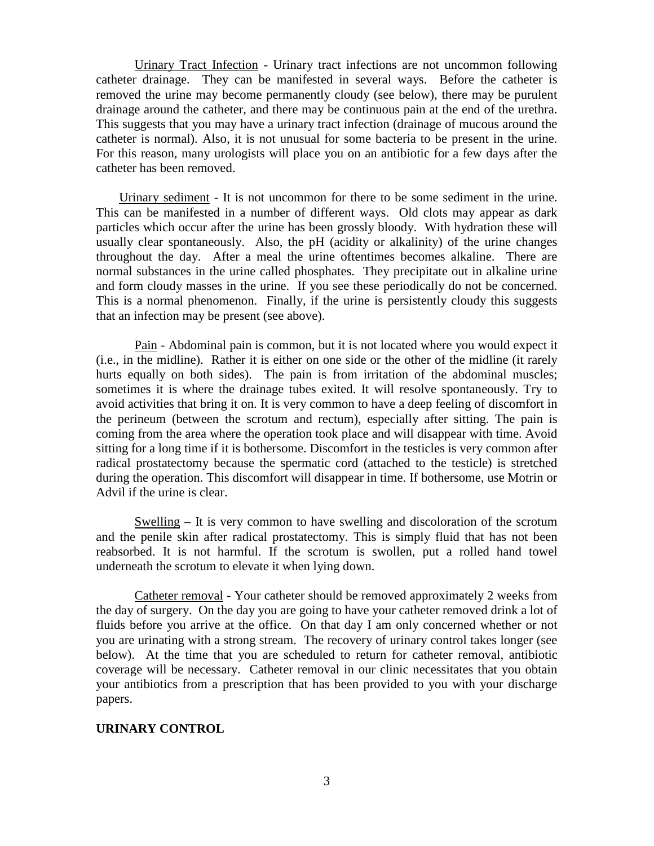Urinary Tract Infection - Urinary tract infections are not uncommon following catheter drainage. They can be manifested in several ways. Before the catheter is removed the urine may become permanently cloudy (see below), there may be purulent drainage around the catheter, and there may be continuous pain at the end of the urethra. This suggests that you may have a urinary tract infection (drainage of mucous around the catheter is normal). Also, it is not unusual for some bacteria to be present in the urine. For this reason, many urologists will place you on an antibiotic for a few days after the catheter has been removed.

Urinary sediment - It is not uncommon for there to be some sediment in the urine. This can be manifested in a number of different ways. Old clots may appear as dark particles which occur after the urine has been grossly bloody. With hydration these will usually clear spontaneously. Also, the pH (acidity or alkalinity) of the urine changes throughout the day. After a meal the urine oftentimes becomes alkaline. There are normal substances in the urine called phosphates. They precipitate out in alkaline urine and form cloudy masses in the urine. If you see these periodically do not be concerned. This is a normal phenomenon. Finally, if the urine is persistently cloudy this suggests that an infection may be present (see above).

Pain - Abdominal pain is common, but it is not located where you would expect it (i.e., in the midline). Rather it is either on one side or the other of the midline (it rarely hurts equally on both sides). The pain is from irritation of the abdominal muscles; sometimes it is where the drainage tubes exited. It will resolve spontaneously. Try to avoid activities that bring it on. It is very common to have a deep feeling of discomfort in the perineum (between the scrotum and rectum), especially after sitting. The pain is coming from the area where the operation took place and will disappear with time. Avoid sitting for a long time if it is bothersome. Discomfort in the testicles is very common after radical prostatectomy because the spermatic cord (attached to the testicle) is stretched during the operation. This discomfort will disappear in time. If bothersome, use Motrin or Advil if the urine is clear.

Swelling – It is very common to have swelling and discoloration of the scrotum and the penile skin after radical prostatectomy. This is simply fluid that has not been reabsorbed. It is not harmful. If the scrotum is swollen, put a rolled hand towel underneath the scrotum to elevate it when lying down.

Catheter removal - Your catheter should be removed approximately 2 weeks from the day of surgery. On the day you are going to have your catheter removed drink a lot of fluids before you arrive at the office. On that day I am only concerned whether or not you are urinating with a strong stream. The recovery of urinary control takes longer (see below). At the time that you are scheduled to return for catheter removal, antibiotic coverage will be necessary. Catheter removal in our clinic necessitates that you obtain your antibiotics from a prescription that has been provided to you with your discharge papers.

### **URINARY CONTROL**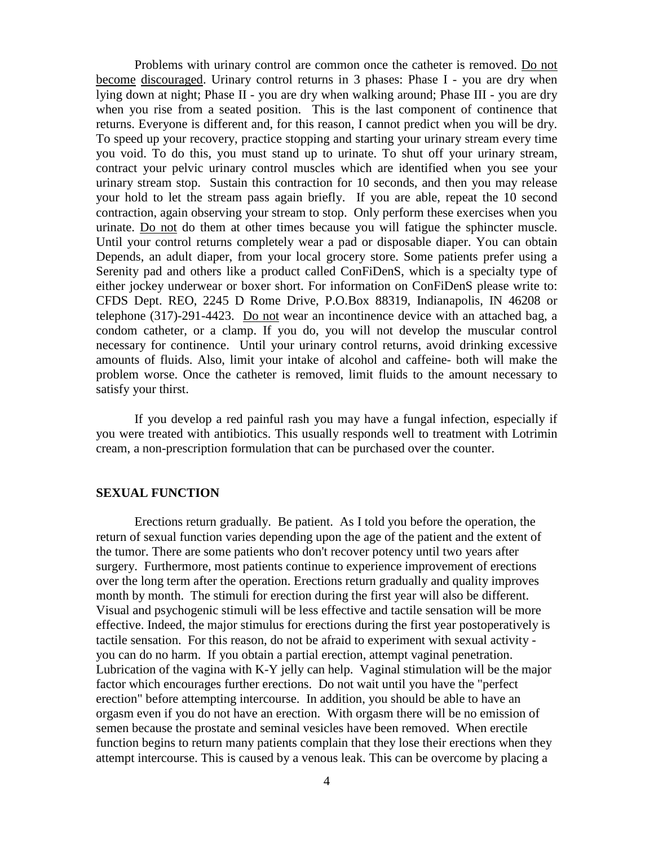Problems with urinary control are common once the catheter is removed. Do not become discouraged. Urinary control returns in 3 phases: Phase I - you are dry when lying down at night; Phase II - you are dry when walking around; Phase III - you are dry when you rise from a seated position. This is the last component of continence that returns. Everyone is different and, for this reason, I cannot predict when you will be dry. To speed up your recovery, practice stopping and starting your urinary stream every time you void. To do this, you must stand up to urinate. To shut off your urinary stream, contract your pelvic urinary control muscles which are identified when you see your urinary stream stop. Sustain this contraction for 10 seconds, and then you may release your hold to let the stream pass again briefly. If you are able, repeat the 10 second contraction, again observing your stream to stop. Only perform these exercises when you urinate. Do not do them at other times because you will fatigue the sphincter muscle. Until your control returns completely wear a pad or disposable diaper. You can obtain Depends, an adult diaper, from your local grocery store. Some patients prefer using a Serenity pad and others like a product called ConFiDenS, which is a specialty type of either jockey underwear or boxer short. For information on ConFiDenS please write to: CFDS Dept. REO, 2245 D Rome Drive, P.O.Box 88319, Indianapolis, IN 46208 or telephone (317)-291-4423. Do not wear an incontinence device with an attached bag, a condom catheter, or a clamp. If you do, you will not develop the muscular control necessary for continence. Until your urinary control returns, avoid drinking excessive amounts of fluids. Also, limit your intake of alcohol and caffeine- both will make the problem worse. Once the catheter is removed, limit fluids to the amount necessary to satisfy your thirst.

If you develop a red painful rash you may have a fungal infection, especially if you were treated with antibiotics. This usually responds well to treatment with Lotrimin cream, a non-prescription formulation that can be purchased over the counter.

#### **SEXUAL FUNCTION**

Erections return gradually. Be patient. As I told you before the operation, the return of sexual function varies depending upon the age of the patient and the extent of the tumor. There are some patients who don't recover potency until two years after surgery. Furthermore, most patients continue to experience improvement of erections over the long term after the operation. Erections return gradually and quality improves month by month. The stimuli for erection during the first year will also be different. Visual and psychogenic stimuli will be less effective and tactile sensation will be more effective. Indeed, the major stimulus for erections during the first year postoperatively is tactile sensation. For this reason, do not be afraid to experiment with sexual activity you can do no harm. If you obtain a partial erection, attempt vaginal penetration. Lubrication of the vagina with K-Y jelly can help. Vaginal stimulation will be the major factor which encourages further erections. Do not wait until you have the "perfect erection" before attempting intercourse. In addition, you should be able to have an orgasm even if you do not have an erection. With orgasm there will be no emission of semen because the prostate and seminal vesicles have been removed. When erectile function begins to return many patients complain that they lose their erections when they attempt intercourse. This is caused by a venous leak. This can be overcome by placing a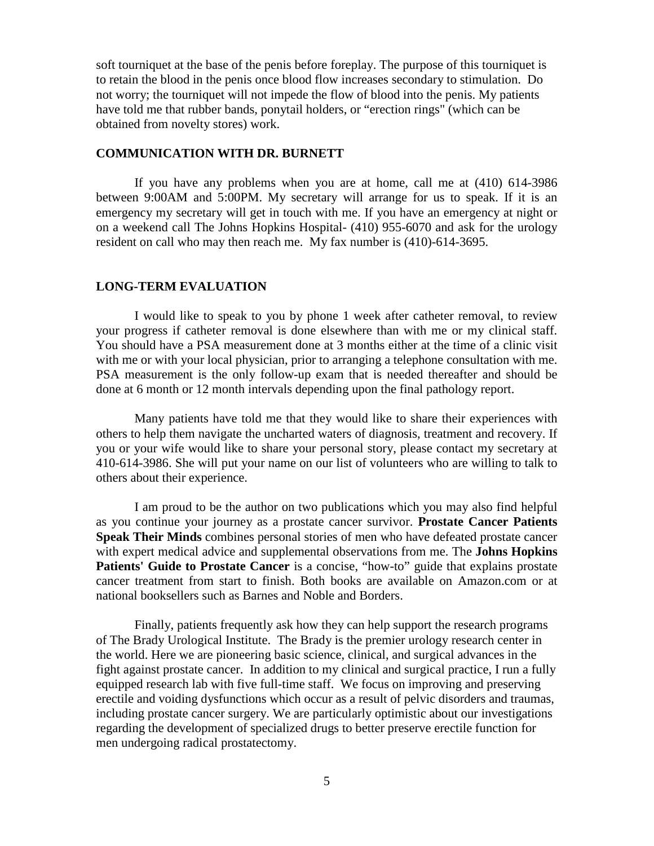soft tourniquet at the base of the penis before foreplay. The purpose of this tourniquet is to retain the blood in the penis once blood flow increases secondary to stimulation. Do not worry; the tourniquet will not impede the flow of blood into the penis. My patients have told me that rubber bands, ponytail holders, or "erection rings" (which can be obtained from novelty stores) work.

### **COMMUNICATION WITH DR. BURNETT**

If you have any problems when you are at home, call me at (410) 614-3986 between 9:00AM and 5:00PM. My secretary will arrange for us to speak. If it is an emergency my secretary will get in touch with me. If you have an emergency at night or on a weekend call The Johns Hopkins Hospital- (410) 955-6070 and ask for the urology resident on call who may then reach me. My fax number is (410)-614-3695.

#### **LONG-TERM EVALUATION**

I would like to speak to you by phone 1 week after catheter removal, to review your progress if catheter removal is done elsewhere than with me or my clinical staff. You should have a PSA measurement done at 3 months either at the time of a clinic visit with me or with your local physician, prior to arranging a telephone consultation with me. PSA measurement is the only follow-up exam that is needed thereafter and should be done at 6 month or 12 month intervals depending upon the final pathology report.

Many patients have told me that they would like to share their experiences with others to help them navigate the uncharted waters of diagnosis, treatment and recovery. If you or your wife would like to share your personal story, please contact my secretary at 410-614-3986. She will put your name on our list of volunteers who are willing to talk to others about their experience.

I am proud to be the author on two publications which you may also find helpful as you continue your journey as a prostate cancer survivor. **Prostate Cancer Patients Speak Their Minds** combines personal stories of men who have defeated prostate cancer with expert medical advice and supplemental observations from me. The **Johns Hopkins**  Patients' Guide to Prostate Cancer is a concise, "how-to" guide that explains prostate cancer treatment from start to finish. Both books are available on Amazon.com or at national booksellers such as Barnes and Noble and Borders.

Finally, patients frequently ask how they can help support the research programs of The Brady Urological Institute. The Brady is the premier urology research center in the world. Here we are pioneering basic science, clinical, and surgical advances in the fight against prostate cancer. In addition to my clinical and surgical practice, I run a fully equipped research lab with five full-time staff. We focus on improving and preserving erectile and voiding dysfunctions which occur as a result of pelvic disorders and traumas, including prostate cancer surgery. We are particularly optimistic about our investigations regarding the development of specialized drugs to better preserve erectile function for men undergoing radical prostatectomy.